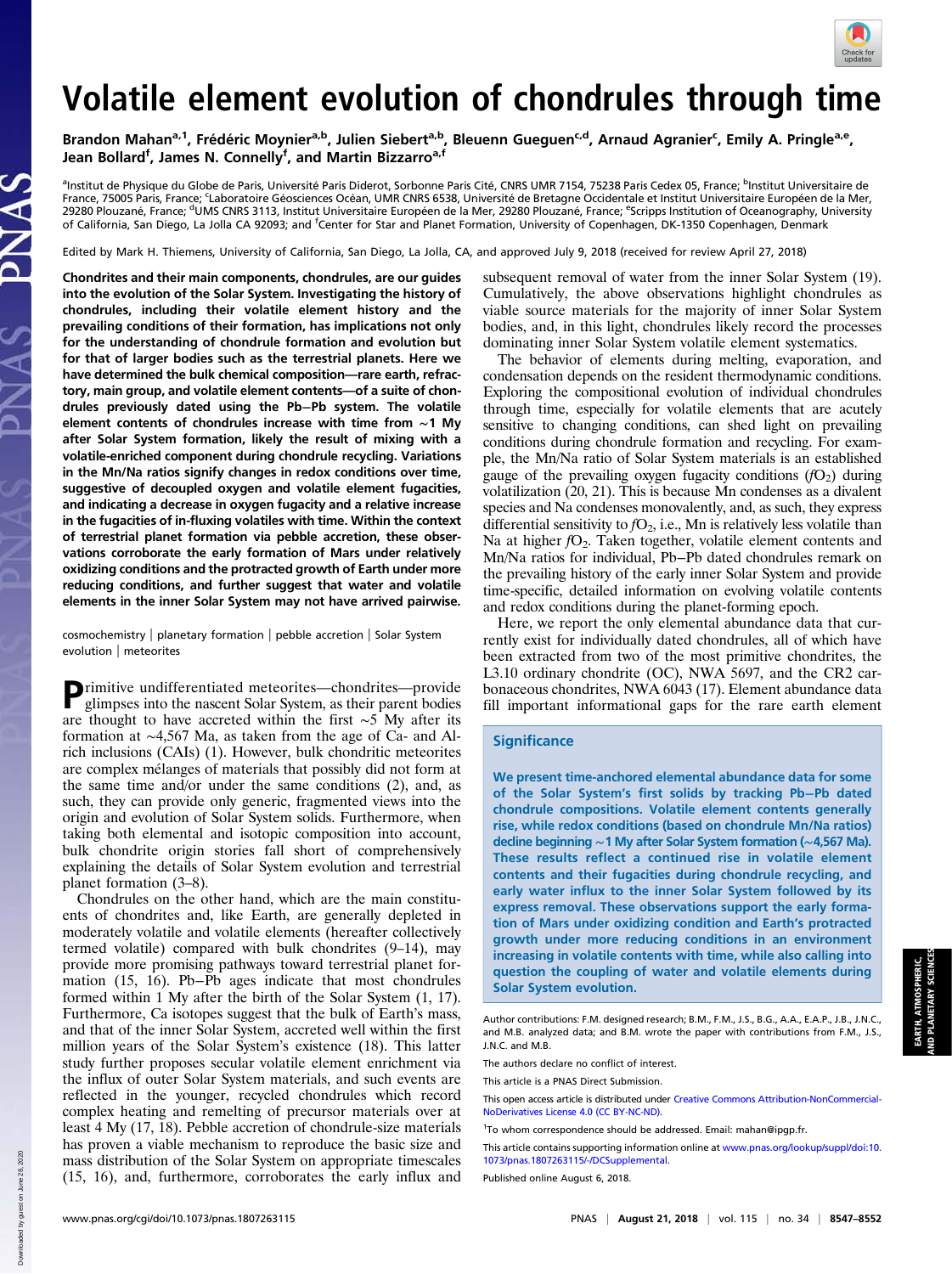

# Volatile element evolution of chondrules through time

Brandon Mahan<sup>a,1</sup>, Frédéric Moynier<sup>a,b</sup>, Julien Siebert<sup>a,b</sup>, Bleuenn Gueguen<sup>c,d</sup>, Arnaud Agranier<sup>c</sup>, Emily A. Pringle<sup>a,e</sup>, Jean Bollard<sup>f</sup>, James N. Connelly<sup>f</sup>, and Martin Bizzarro<sup>a,f</sup>

<sup>a</sup>Institut de Physique du Globe de Paris, Université Paris Diderot, Sorbonne Paris Cité, CNRS UMR 7154, 75238 Paris Cedex 05, France; <sup>b</sup>Institut Universitaire de France, 75005 Paris, France; <sup>c</sup>Laboratoire Géosciences Océan, UMR CNRS 6538, Université de Bretagne Occidentale et Institut Universitaire Européen de la Mer, 29280 Plouzané, France; <sup>d</sup>UMS CNRS 3113, Institut Universitaire Européen de la Mer, 29280 Plouzané, France; <sup>e</sup>Scripps Institution of Oceanography, University of California, San Diego, La Jolla CA 92093; and <sup>f</sup>Center for Star and Planet Formation, University of Copenhagen, DK-1350 Copenhagen, Denmark

Edited by Mark H. Thiemens, University of California, San Diego, La Jolla, CA, and approved July 9, 2018 (received for review April 27, 2018)

Chondrites and their main components, chondrules, are our guides into the evolution of the Solar System. Investigating the history of chondrules, including their volatile element history and the prevailing conditions of their formation, has implications not only for the understanding of chondrule formation and evolution but for that of larger bodies such as the terrestrial planets. Here we have determined the bulk chemical composition—rare earth, refractory, main group, and volatile element contents—of a suite of chondrules previously dated using the Pb−Pb system. The volatile element contents of chondrules increase with time from ∼1 My after Solar System formation, likely the result of mixing with a volatile-enriched component during chondrule recycling. Variations in the Mn/Na ratios signify changes in redox conditions over time, suggestive of decoupled oxygen and volatile element fugacities, and indicating a decrease in oxygen fugacity and a relative increase in the fugacities of in-fluxing volatiles with time. Within the context of terrestrial planet formation via pebble accretion, these observations corroborate the early formation of Mars under relatively oxidizing conditions and the protracted growth of Earth under more reducing conditions, and further suggest that water and volatile elements in the inner Solar System may not have arrived pairwise.

cosmochemistry | planetary formation | pebble accretion | Solar System evolution | meteorites

Primitive undifferentiated meteorites—chondrites—provide<br>glimnses into the necessity of the contract of the state of the state of the state of the state of the state of the state of the state of the state of the state of t glimpses into the nascent Solar System, as their parent bodies are thought to have accreted within the first ∼5 My after its formation at ∼4,567 Ma, as taken from the age of Ca- and Alrich inclusions (CAIs) (1). However, bulk chondritic meteorites are complex mélanges of materials that possibly did not form at the same time and/or under the same conditions (2), and, as such, they can provide only generic, fragmented views into the origin and evolution of Solar System solids. Furthermore, when taking both elemental and isotopic composition into account, bulk chondrite origin stories fall short of comprehensively explaining the details of Solar System evolution and terrestrial planet formation (3–8).

Chondrules on the other hand, which are the main constituents of chondrites and, like Earth, are generally depleted in moderately volatile and volatile elements (hereafter collectively termed volatile) compared with bulk chondrites (9–14), may provide more promising pathways toward terrestrial planet formation (15, 16). Pb−Pb ages indicate that most chondrules formed within 1 My after the birth of the Solar System (1, 17). Furthermore, Ca isotopes suggest that the bulk of Earth's mass, and that of the inner Solar System, accreted well within the first million years of the Solar System's existence (18). This latter study further proposes secular volatile element enrichment via the influx of outer Solar System materials, and such events are reflected in the younger, recycled chondrules which record complex heating and remelting of precursor materials over at least 4 My (17, 18). Pebble accretion of chondrule-size materials has proven a viable mechanism to reproduce the basic size and mass distribution of the Solar System on appropriate timescales (15, 16), and, furthermore, corroborates the early influx and subsequent removal of water from the inner Solar System (19). Cumulatively, the above observations highlight chondrules as viable source materials for the majority of inner Solar System bodies, and, in this light, chondrules likely record the processes dominating inner Solar System volatile element systematics.

The behavior of elements during melting, evaporation, and condensation depends on the resident thermodynamic conditions. Exploring the compositional evolution of individual chondrules through time, especially for volatile elements that are acutely sensitive to changing conditions, can shed light on prevailing conditions during chondrule formation and recycling. For example, the Mn/Na ratio of Solar System materials is an established gauge of the prevailing oxygen fugacity conditions  $(fO<sub>2</sub>)$  during volatilization (20, 21). This is because Mn condenses as a divalent species and Na condenses monovalently, and, as such, they express differential sensitivity to  $fO_2$ , i.e., Mn is relatively less volatile than Na at higher  $fO_2$ . Taken together, volatile element contents and Mn/Na ratios for individual, Pb−Pb dated chondrules remark on the prevailing history of the early inner Solar System and provide time-specific, detailed information on evolving volatile contents and redox conditions during the planet-forming epoch.

Here, we report the only elemental abundance data that currently exist for individually dated chondrules, all of which have been extracted from two of the most primitive chondrites, the L3.10 ordinary chondrite (OC), NWA 5697, and the CR2 carbonaceous chondrites, NWA 6043 (17). Element abundance data fill important informational gaps for the rare earth element

#### **Significance**

We present time-anchored elemental abundance data for some of the Solar System's first solids by tracking Pb−Pb dated chondrule compositions. Volatile element contents generally rise, while redox conditions (based on chondrule Mn/Na ratios) decline beginning ∼1 My after Solar System formation (∼4,567 Ma). These results reflect a continued rise in volatile element contents and their fugacities during chondrule recycling, and early water influx to the inner Solar System followed by its express removal. These observations support the early formation of Mars under oxidizing condition and Earth's protracted growth under more reducing conditions in an environment increasing in volatile contents with time, while also calling into question the coupling of water and volatile elements during Solar System evolution.

The authors declare no conflict of interest.

This article is a PNAS Direct Submission.

This open access article is distributed under [Creative Commons Attribution-NonCommercial-](https://creativecommons.org/licenses/by-nc-nd/4.0/)[NoDerivatives License 4.0 \(CC BY-NC-ND\).](https://creativecommons.org/licenses/by-nc-nd/4.0/)

This article contains supporting information online at [www.pnas.org/lookup/suppl/doi:10.](http://www.pnas.org/lookup/suppl/doi:10.1073/pnas.1807263115/-/DCSupplemental) [1073/pnas.1807263115/-/DCSupplemental](http://www.pnas.org/lookup/suppl/doi:10.1073/pnas.1807263115/-/DCSupplemental).

Published online August 6, 2018.

Down

Author contributions: F.M. designed research; B.M., F.M., J.S., B.G., A.A., E.A.P., J.B., J.N.C., and M.B. analyzed data; and B.M. wrote the paper with contributions from F.M., J.S., J.N.C. and M.B.

<sup>1</sup> To whom correspondence should be addressed. Email: [mahan@ipgp.fr.](mailto:mahan@ipgp.fr)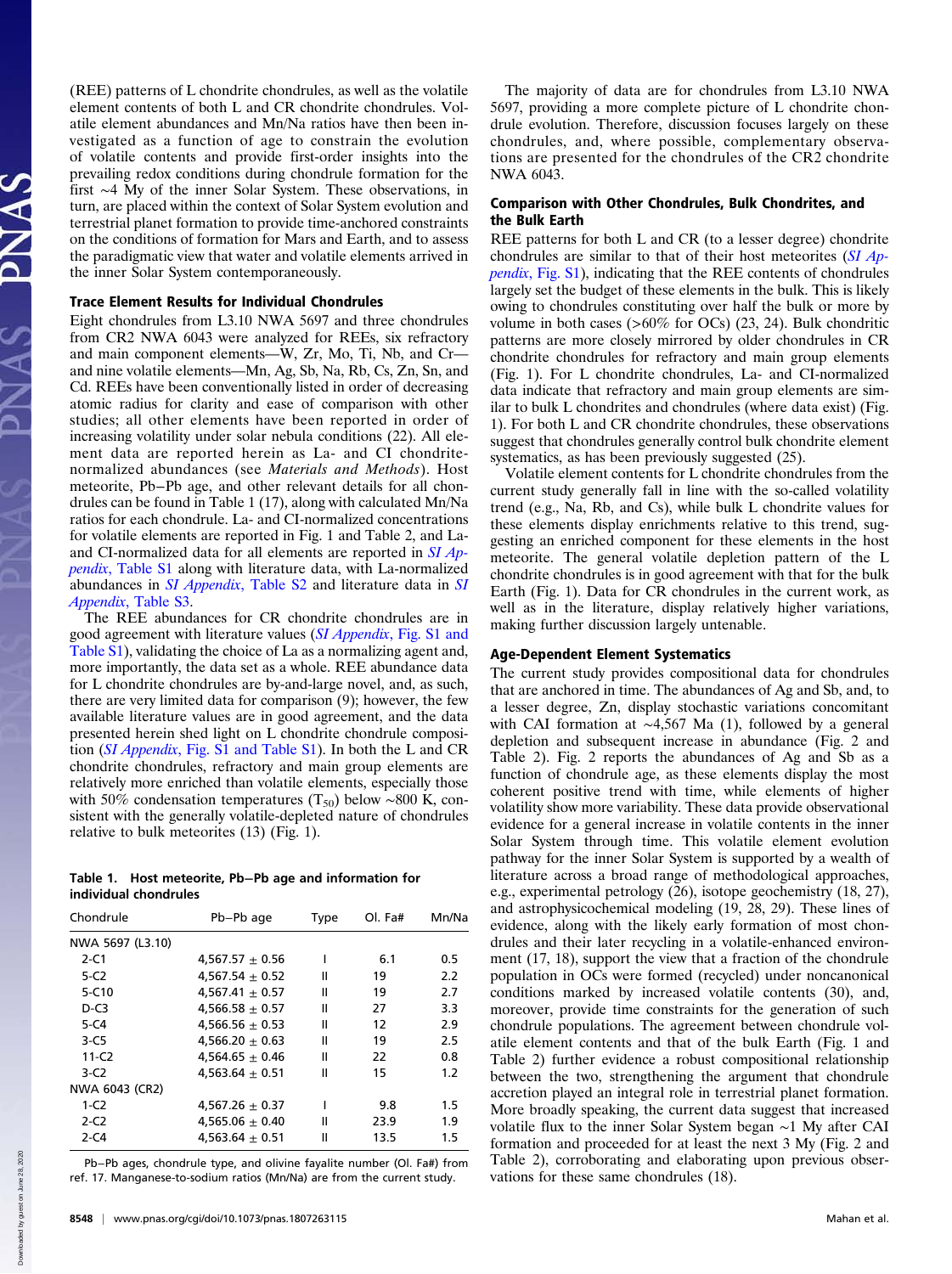Downloaded by guest on June 28, 2020 June 28.

loaded by guest on

(REE) patterns of L chondrite chondrules, as well as the volatile element contents of both L and CR chondrite chondrules. Volatile element abundances and Mn/Na ratios have then been investigated as a function of age to constrain the evolution of volatile contents and provide first-order insights into the prevailing redox conditions during chondrule formation for the first ∼4 My of the inner Solar System. These observations, in turn, are placed within the context of Solar System evolution and terrestrial planet formation to provide time-anchored constraints on the conditions of formation for Mars and Earth, and to assess the paradigmatic view that water and volatile elements arrived in the inner Solar System contemporaneously.

# Trace Element Results for Individual Chondrules

Eight chondrules from L3.10 NWA 5697 and three chondrules from CR2 NWA 6043 were analyzed for REEs, six refractory and main component elements—W, Zr, Mo, Ti, Nb, and Cr and nine volatile elements—Mn, Ag, Sb, Na, Rb, Cs, Zn, Sn, and Cd. REEs have been conventionally listed in order of decreasing atomic radius for clarity and ease of comparison with other studies; all other elements have been reported in order of increasing volatility under solar nebula conditions (22). All element data are reported herein as La- and CI chondritenormalized abundances (see Materials and Methods). Host meteorite, Pb−Pb age, and other relevant details for all chondrules can be found in Table 1 (17), along with calculated Mn/Na ratios for each chondrule. La- and CI-normalized concentrations for volatile elements are reported in Fig. 1 and Table 2, and Laand CI-normalized data for all elements are reported in  $SI$   $Ap$ pendix[, Table S1](http://www.pnas.org/lookup/suppl/doi:10.1073/pnas.1807263115/-/DCSupplemental) along with literature data, with La-normalized abundances in *[SI](http://www.pnas.org/lookup/suppl/doi:10.1073/pnas.1807263115/-/DCSupplemental) Appendix*[, Table S2](http://www.pnas.org/lookup/suppl/doi:10.1073/pnas.1807263115/-/DCSupplemental) and literature data in *SI* Appendix[, Table S3.](http://www.pnas.org/lookup/suppl/doi:10.1073/pnas.1807263115/-/DCSupplemental)

The REE abundances for CR chondrite chondrules are in good agreement with literature values (SI Appendix[, Fig. S1 and](http://www.pnas.org/lookup/suppl/doi:10.1073/pnas.1807263115/-/DCSupplemental) [Table S1](http://www.pnas.org/lookup/suppl/doi:10.1073/pnas.1807263115/-/DCSupplemental)), validating the choice of La as a normalizing agent and, more importantly, the data set as a whole. REE abundance data for L chondrite chondrules are by-and-large novel, and, as such, there are very limited data for comparison (9); however, the few available literature values are in good agreement, and the data presented herein shed light on L chondrite chondrule composition (SI Appendix[, Fig. S1 and Table S1\)](http://www.pnas.org/lookup/suppl/doi:10.1073/pnas.1807263115/-/DCSupplemental). In both the L and CR chondrite chondrules, refractory and main group elements are relatively more enriched than volatile elements, especially those with 50% condensation temperatures (T<sub>50</sub>) below ~800 K, consistent with the generally volatile-depleted nature of chondrules relative to bulk meteorites (13) (Fig. 1).

## Table 1. Host meteorite, Pb−Pb age and information for individual chondrules

| Chondrule        | Pb-Pb age           | <b>Type</b> | Ol. <i>Fa#</i> | Mn/Na |  |
|------------------|---------------------|-------------|----------------|-------|--|
| NWA 5697 (L3.10) |                     |             |                |       |  |
| $2-C1$           | 4,567.57 $\pm$ 0.56 |             | 6.1            | 0.5   |  |
| $5-C2$           | 4,567.54 $\pm$ 0.52 | Ш           | 19             | 2.2   |  |
| $5 - C10$        | 4,567.41 $\pm$ 0.57 | Ш           | 19             | 2.7   |  |
| $D-C3$           | $4.566.58 + 0.57$   | Ш           | 27             | 3.3   |  |
| $5 - C4$         | 4,566.56 $\pm$ 0.53 | Ш           | 12             | 2.9   |  |
| $3-C5$           | $4,566.20 \pm 0.63$ | Ш           | 19             | 2.5   |  |
| $11-C2$          | 4,564.65 $\pm$ 0.46 | Ш           | 22             | 0.8   |  |
| $3-C2$           | 4,563.64 $\pm$ 0.51 | Ш           | 15             | 1.2   |  |
| NWA 6043 (CR2)   |                     |             |                |       |  |
| $1-C2$           | 4,567.26 $\pm$ 0.37 |             | 9.8            | 1.5   |  |
| $2-C2$           | 4,565.06 $\pm$ 0.40 | Ш           | 23.9           | 1.9   |  |
| $2 - C4$         | 4,563.64 $\pm$ 0.51 | Ш           | 13.5           | 1.5   |  |

Pb−Pb ages, chondrule type, and olivine fayalite number (Ol. Fa#) from ref. 17. Manganese-to-sodium ratios (Mn/Na) are from the current study.

The majority of data are for chondrules from L3.10 NWA 5697, providing a more complete picture of L chondrite chondrule evolution. Therefore, discussion focuses largely on these chondrules, and, where possible, complementary observations are presented for the chondrules of the CR2 chondrite NWA 6043.

## Comparison with Other Chondrules, Bulk Chondrites, and the Bulk Earth

REE patterns for both L and CR (to a lesser degree) chondrite chondrules are similar to that of their host meteorites ([SI Ap](http://www.pnas.org/lookup/suppl/doi:10.1073/pnas.1807263115/-/DCSupplemental)pendix[, Fig. S1\)](http://www.pnas.org/lookup/suppl/doi:10.1073/pnas.1807263115/-/DCSupplemental), indicating that the REE contents of chondrules largely set the budget of these elements in the bulk. This is likely owing to chondrules constituting over half the bulk or more by volume in both cases ( $>60\%$  for OCs) (23, 24). Bulk chondritic patterns are more closely mirrored by older chondrules in CR chondrite chondrules for refractory and main group elements (Fig. 1). For L chondrite chondrules, La- and CI-normalized data indicate that refractory and main group elements are similar to bulk L chondrites and chondrules (where data exist) (Fig. 1). For both L and CR chondrite chondrules, these observations suggest that chondrules generally control bulk chondrite element systematics, as has been previously suggested (25).

Volatile element contents for L chondrite chondrules from the current study generally fall in line with the so-called volatility trend (e.g., Na, Rb, and Cs), while bulk L chondrite values for these elements display enrichments relative to this trend, suggesting an enriched component for these elements in the host meteorite. The general volatile depletion pattern of the L chondrite chondrules is in good agreement with that for the bulk Earth (Fig. 1). Data for CR chondrules in the current work, as well as in the literature, display relatively higher variations, making further discussion largely untenable.

## Age-Dependent Element Systematics

The current study provides compositional data for chondrules that are anchored in time. The abundances of Ag and Sb, and, to a lesser degree, Zn, display stochastic variations concomitant with CAI formation at ∼4,567 Ma (1), followed by a general depletion and subsequent increase in abundance (Fig. 2 and Table 2). Fig. 2 reports the abundances of Ag and Sb as a function of chondrule age, as these elements display the most coherent positive trend with time, while elements of higher volatility show more variability. These data provide observational evidence for a general increase in volatile contents in the inner Solar System through time. This volatile element evolution pathway for the inner Solar System is supported by a wealth of literature across a broad range of methodological approaches, e.g., experimental petrology (26), isotope geochemistry (18, 27), and astrophysicochemical modeling (19, 28, 29). These lines of evidence, along with the likely early formation of most chondrules and their later recycling in a volatile-enhanced environment (17, 18), support the view that a fraction of the chondrule population in OCs were formed (recycled) under noncanonical conditions marked by increased volatile contents (30), and, moreover, provide time constraints for the generation of such chondrule populations. The agreement between chondrule volatile element contents and that of the bulk Earth (Fig. 1 and Table 2) further evidence a robust compositional relationship between the two, strengthening the argument that chondrule accretion played an integral role in terrestrial planet formation. More broadly speaking, the current data suggest that increased volatile flux to the inner Solar System began ∼1 My after CAI formation and proceeded for at least the next 3 My (Fig. 2 and Table 2), corroborating and elaborating upon previous observations for these same chondrules (18).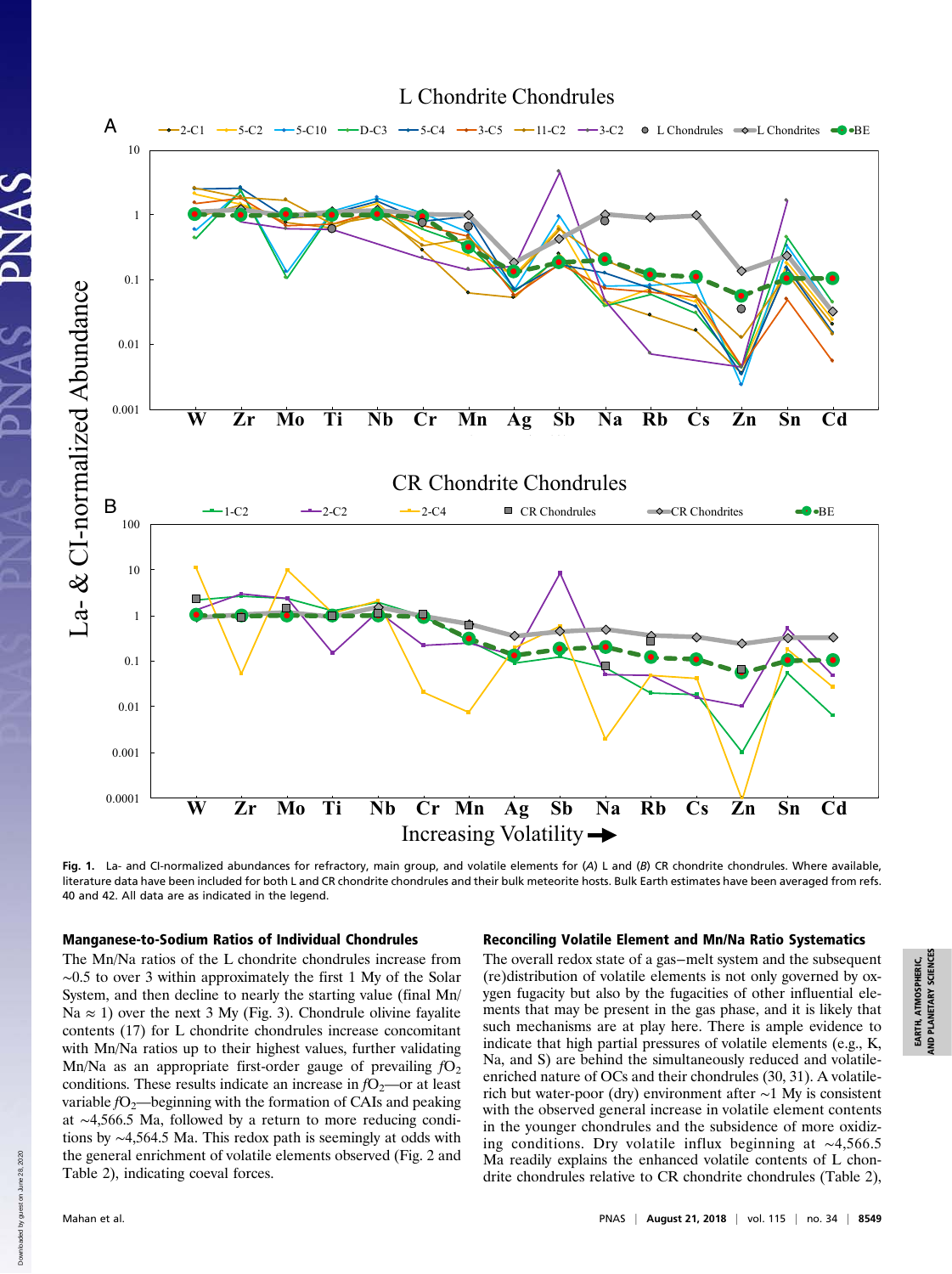

Fig. 1. La- and CI-normalized abundances for refractory, main group, and volatile elements for (A) L and (B) CR chondrite chondrules. Where available, literature data have been included for both L and CR chondrite chondrules and their bulk meteorite hosts. Bulk Earth estimates have been averaged from refs. 40 and 42. All data are as indicated in the legend.

#### Manganese-to-Sodium Ratios of Individual Chondrules

The Mn/Na ratios of the L chondrite chondrules increase from ∼0.5 to over 3 within approximately the first 1 My of the Solar System, and then decline to nearly the starting value (final Mn/ Na  $\approx$  1) over the next 3 My (Fig. 3). Chondrule olivine fayalite contents (17) for L chondrite chondrules increase concomitant with Mn/Na ratios up to their highest values, further validating Mn/Na as an appropriate first-order gauge of prevailing  $fO<sub>2</sub>$ conditions. These results indicate an increase in  $fO_2$ —or at least variable  $fO_2$ —beginning with the formation of CAIs and peaking at ∼4,566.5 Ma, followed by a return to more reducing conditions by ∼4,564.5 Ma. This redox path is seemingly at odds with the general enrichment of volatile elements observed (Fig. 2 and Table 2), indicating coeval forces.

#### Reconciling Volatile Element and Mn/Na Ratio Systematics

The overall redox state of a gas−melt system and the subsequent (re)distribution of volatile elements is not only governed by oxygen fugacity but also by the fugacities of other influential elements that may be present in the gas phase, and it is likely that such mechanisms are at play here. There is ample evidence to indicate that high partial pressures of volatile elements (e.g., K, Na, and S) are behind the simultaneously reduced and volatileenriched nature of OCs and their chondrules (30, 31). A volatilerich but water-poor (dry) environment after ∼1 My is consistent with the observed general increase in volatile element contents in the younger chondrules and the subsidence of more oxidizing conditions. Dry volatile influx beginning at ∼4,566.5 Ma readily explains the enhanced volatile contents of L chondrite chondrules relative to CR chondrite chondrules (Table 2),

Down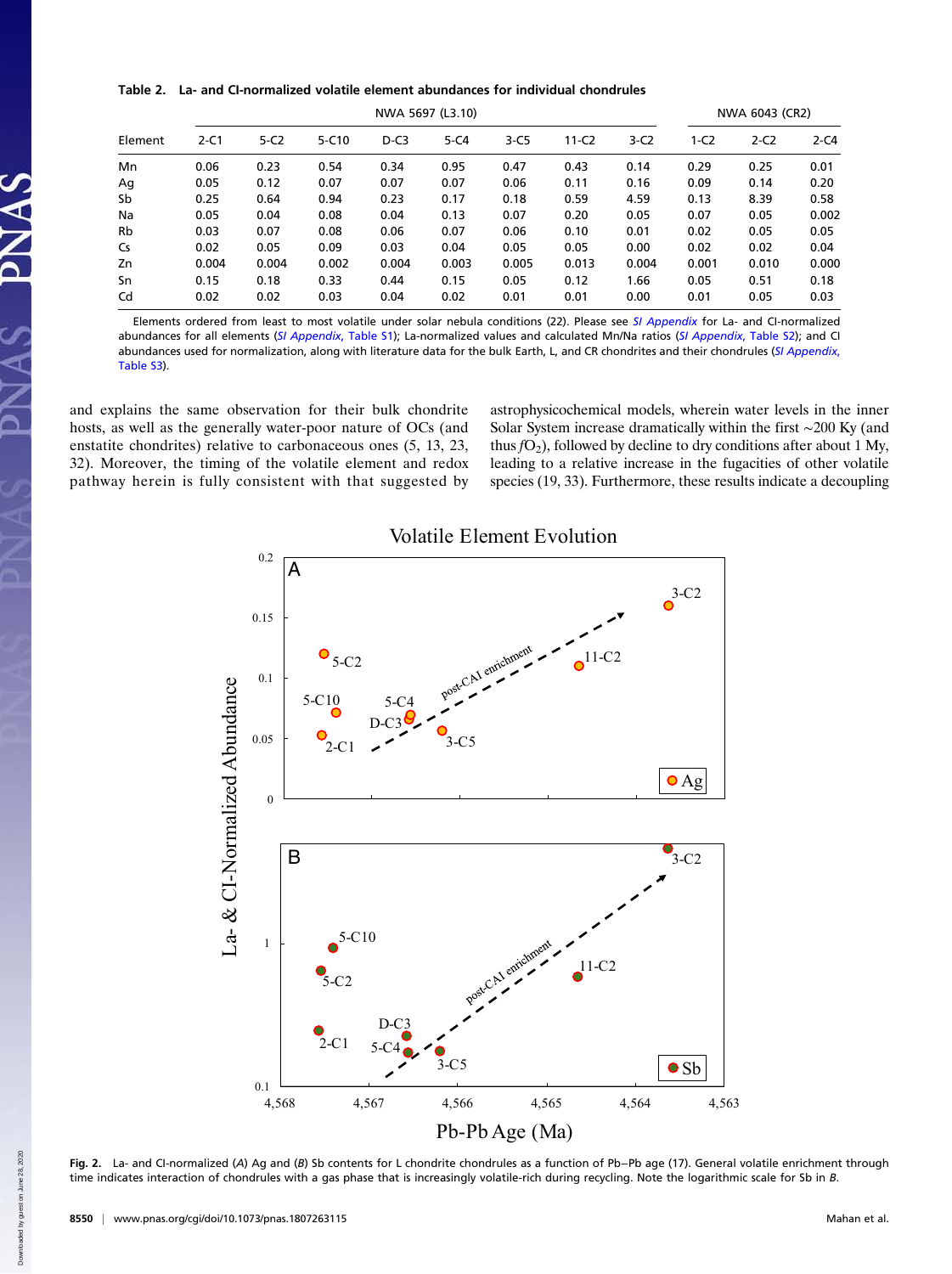Table 2. La- and CI-normalized volatile element abundances for individual chondrules

|         | NWA 5697 (L3.10) |        |           |        |          |        | NWA 6043 (CR2) |        |        |        |          |
|---------|------------------|--------|-----------|--------|----------|--------|----------------|--------|--------|--------|----------|
| Element | $2-C1$           | $5-C2$ | $5 - C10$ | $D-C3$ | $5 - C4$ | $3-C5$ | $11-C2$        | $3-C2$ | $1-C2$ | $2-C2$ | $2 - C4$ |
| Mn      | 0.06             | 0.23   | 0.54      | 0.34   | 0.95     | 0.47   | 0.43           | 0.14   | 0.29   | 0.25   | 0.01     |
| Ag      | 0.05             | 0.12   | 0.07      | 0.07   | 0.07     | 0.06   | 0.11           | 0.16   | 0.09   | 0.14   | 0.20     |
| Sb      | 0.25             | 0.64   | 0.94      | 0.23   | 0.17     | 0.18   | 0.59           | 4.59   | 0.13   | 8.39   | 0.58     |
| Na      | 0.05             | 0.04   | 0.08      | 0.04   | 0.13     | 0.07   | 0.20           | 0.05   | 0.07   | 0.05   | 0.002    |
| Rb      | 0.03             | 0.07   | 0.08      | 0.06   | 0.07     | 0.06   | 0.10           | 0.01   | 0.02   | 0.05   | 0.05     |
| Cs      | 0.02             | 0.05   | 0.09      | 0.03   | 0.04     | 0.05   | 0.05           | 0.00   | 0.02   | 0.02   | 0.04     |
| Zn      | 0.004            | 0.004  | 0.002     | 0.004  | 0.003    | 0.005  | 0.013          | 0.004  | 0.001  | 0.010  | 0.000    |
| Sn      | 0.15             | 0.18   | 0.33      | 0.44   | 0.15     | 0.05   | 0.12           | 1.66   | 0.05   | 0.51   | 0.18     |
| Cd      | 0.02             | 0.02   | 0.03      | 0.04   | 0.02     | 0.01   | 0.01           | 0.00   | 0.01   | 0.05   | 0.03     |

Elements ordered from least to most volatile under solar nebula conditions (22). Please see [SI Appendix](http://www.pnas.org/lookup/suppl/doi:10.1073/pnas.1807263115/-/DCSupplemental) for La- and CI-normalized abundances for all elements ([SI Appendix](http://www.pnas.org/lookup/suppl/doi:10.1073/pnas.1807263115/-/DCSupplemental), Table S1); La-normalized values and calculated Mn/Na ratios (SI Appendix, Table S2); and CI abundances used for normalization, along with literature data for the bulk Earth, L, and CR chondrites and their chondrules ([SI Appendix](http://www.pnas.org/lookup/suppl/doi:10.1073/pnas.1807263115/-/DCSupplemental), [Table S3](http://www.pnas.org/lookup/suppl/doi:10.1073/pnas.1807263115/-/DCSupplemental)).

and explains the same observation for their bulk chondrite hosts, as well as the generally water-poor nature of OCs (and enstatite chondrites) relative to carbonaceous ones (5, 13, 23, 32). Moreover, the timing of the volatile element and redox pathway herein is fully consistent with that suggested by astrophysicochemical models, wherein water levels in the inner Solar System increase dramatically within the first ∼200 Ky (and thus  $fO_2$ ), followed by decline to dry conditions after about 1 My, leading to a relative increase in the fugacities of other volatile species (19, 33). Furthermore, these results indicate a decoupling



Volatile Element Evolution

Fig. 2. La- and CI-normalized (A) Ag and (B) Sb contents for L chondrite chondrules as a function of Pb−Pb age (17). General volatile enrichment through time indicates interaction of chondrules with a gas phase that is increasingly volatile-rich during recycling. Note the logarithmic scale for Sb in B.

Down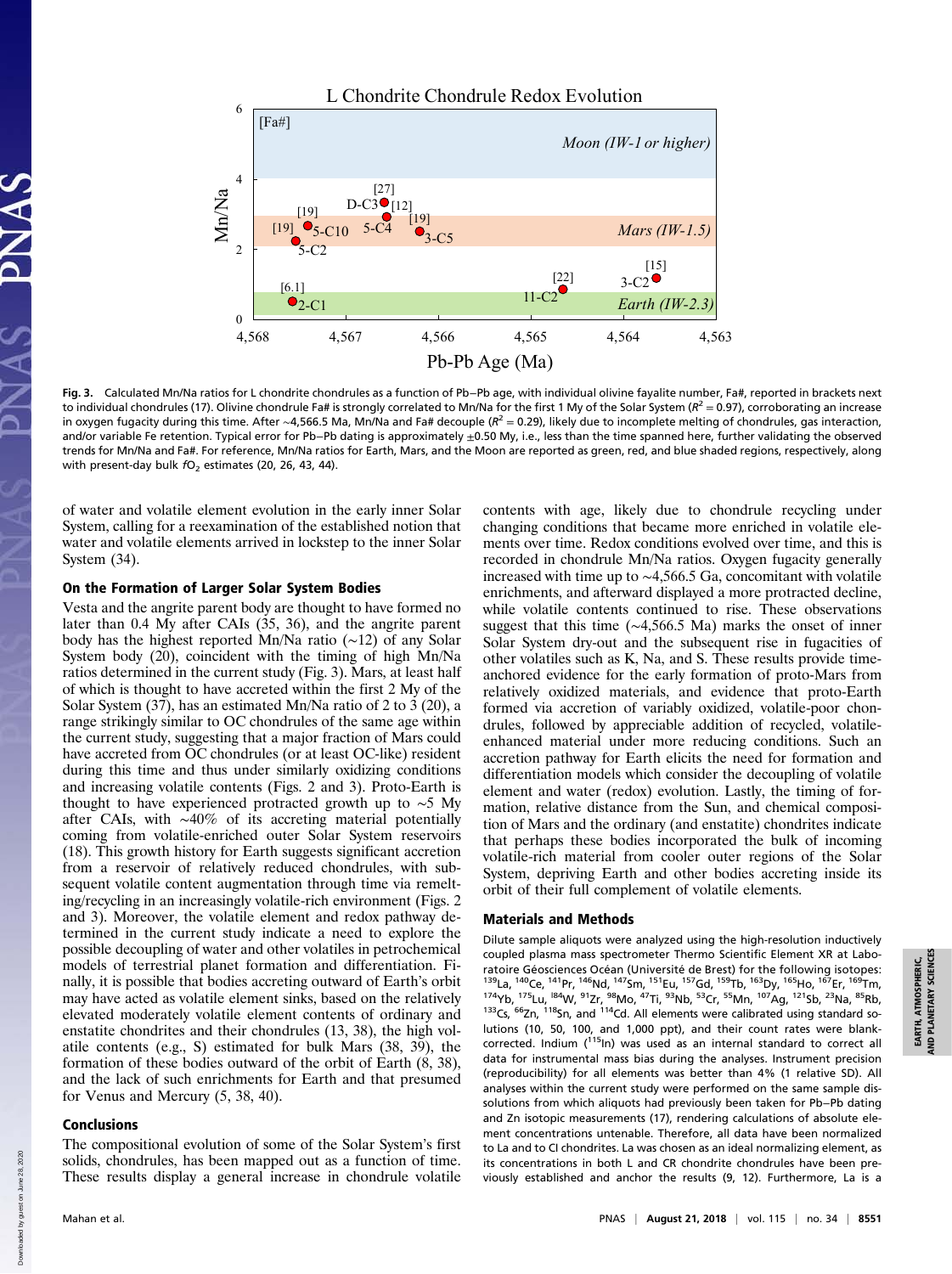

Fig. 3. Calculated Mn/Na ratios for L chondrite chondrules as a function of Pb−Pb age, with individual olivine fayalite number, Fa#, reported in brackets next to individual chondrules (17). Olivine chondrule Fa# is strongly correlated to Mn/Na for the first 1 My of the Solar System ( $R^2 = 0.97$ ), corroborating an increase in oxygen fugacity during this time. After ∼4,566.5 Ma, Mn/Na and Fa# decouple ( $R^2 = 0.29$ ), likely due to incomplete melting of chondrules, gas interaction, and/or variable Fe retention. Typical error for Pb−Pb dating is approximately ±0.50 My, i.e., less than the time spanned here, further validating the observed trends for Mn/Na and Fa#. For reference, Mn/Na ratios for Earth, Mars, and the Moon are reported as green, red, and blue shaded regions, respectively, along with present-day bulk  $fO<sub>2</sub>$  estimates (20, 26, 43, 44).

of water and volatile element evolution in the early inner Solar System, calling for a reexamination of the established notion that water and volatile elements arrived in lockstep to the inner Solar System (34).

#### On the Formation of Larger Solar System Bodies

Vesta and the angrite parent body are thought to have formed no later than 0.4 My after CAIs (35, 36), and the angrite parent body has the highest reported Mn/Na ratio (∼12) of any Solar System body (20), coincident with the timing of high Mn/Na ratios determined in the current study (Fig. 3). Mars, at least half of which is thought to have accreted within the first 2 My of the Solar System  $(37)$ , has an estimated Mn/Na ratio of 2 to  $\overline{3}$  (20), a range strikingly similar to OC chondrules of the same age within the current study, suggesting that a major fraction of Mars could have accreted from OC chondrules (or at least OC-like) resident during this time and thus under similarly oxidizing conditions and increasing volatile contents (Figs. 2 and 3). Proto-Earth is thought to have experienced protracted growth up to ∼5 My after CAIs, with ∼40% of its accreting material potentially coming from volatile-enriched outer Solar System reservoirs (18). This growth history for Earth suggests significant accretion from a reservoir of relatively reduced chondrules, with subsequent volatile content augmentation through time via remelting/recycling in an increasingly volatile-rich environment (Figs. 2 and 3). Moreover, the volatile element and redox pathway determined in the current study indicate a need to explore the possible decoupling of water and other volatiles in petrochemical models of terrestrial planet formation and differentiation. Finally, it is possible that bodies accreting outward of Earth's orbit may have acted as volatile element sinks, based on the relatively elevated moderately volatile element contents of ordinary and enstatite chondrites and their chondrules (13, 38), the high volatile contents (e.g., S) estimated for bulk Mars (38, 39), the formation of these bodies outward of the orbit of Earth (8, 38), and the lack of such enrichments for Earth and that presumed for Venus and Mercury (5, 38, 40).

#### Conclusions

The compositional evolution of some of the Solar System's first solids, chondrules, has been mapped out as a function of time. These results display a general increase in chondrule volatile contents with age, likely due to chondrule recycling under changing conditions that became more enriched in volatile elements over time. Redox conditions evolved over time, and this is recorded in chondrule Mn/Na ratios. Oxygen fugacity generally increased with time up to ∼4,566.5 Ga, concomitant with volatile enrichments, and afterward displayed a more protracted decline, while volatile contents continued to rise. These observations suggest that this time (∼4,566.5 Ma) marks the onset of inner Solar System dry-out and the subsequent rise in fugacities of other volatiles such as K, Na, and S. These results provide timeanchored evidence for the early formation of proto-Mars from relatively oxidized materials, and evidence that proto-Earth formed via accretion of variably oxidized, volatile-poor chondrules, followed by appreciable addition of recycled, volatileenhanced material under more reducing conditions. Such an accretion pathway for Earth elicits the need for formation and differentiation models which consider the decoupling of volatile element and water (redox) evolution. Lastly, the timing of formation, relative distance from the Sun, and chemical composition of Mars and the ordinary (and enstatite) chondrites indicate that perhaps these bodies incorporated the bulk of incoming volatile-rich material from cooler outer regions of the Solar System, depriving Earth and other bodies accreting inside its orbit of their full complement of volatile elements.

#### Materials and Methods

Dilute sample aliquots were analyzed using the high-resolution inductively coupled plasma mass spectrometer Thermo Scientific Element XR at Laboratoire Géosciences Océan (Université de Brest) for the following isotopes: 139La, 140Ce, 141Pr, 146Nd, 147Sm, 151Eu, 157Gd, 159Tb, 163Dy, 165Ho, 167Er, 169Tm, 174Yb, 175Lu, l84W, 91Zr, 98Mo, 47Ti, 93Nb, 53Cr, 55Mn, 107Ag, 121Sb, 23Na, 85Rb, <sup>133</sup>Cs, <sup>66</sup>Zn, <sup>118</sup>Sn, and <sup>114</sup>Cd. All elements were calibrated using standard solutions (10, 50, 100, and 1,000 ppt), and their count rates were blankcorrected. Indium (115In) was used as an internal standard to correct all data for instrumental mass bias during the analyses. Instrument precision (reproducibility) for all elements was better than 4% (1 relative SD). All analyses within the current study were performed on the same sample dissolutions from which aliquots had previously been taken for Pb−Pb dating and Zn isotopic measurements (17), rendering calculations of absolute element concentrations untenable. Therefore, all data have been normalized to La and to CI chondrites. La was chosen as an ideal normalizing element, as its concentrations in both L and CR chondrite chondrules have been previously established and anchor the results (9, 12). Furthermore, La is a

Down

2020